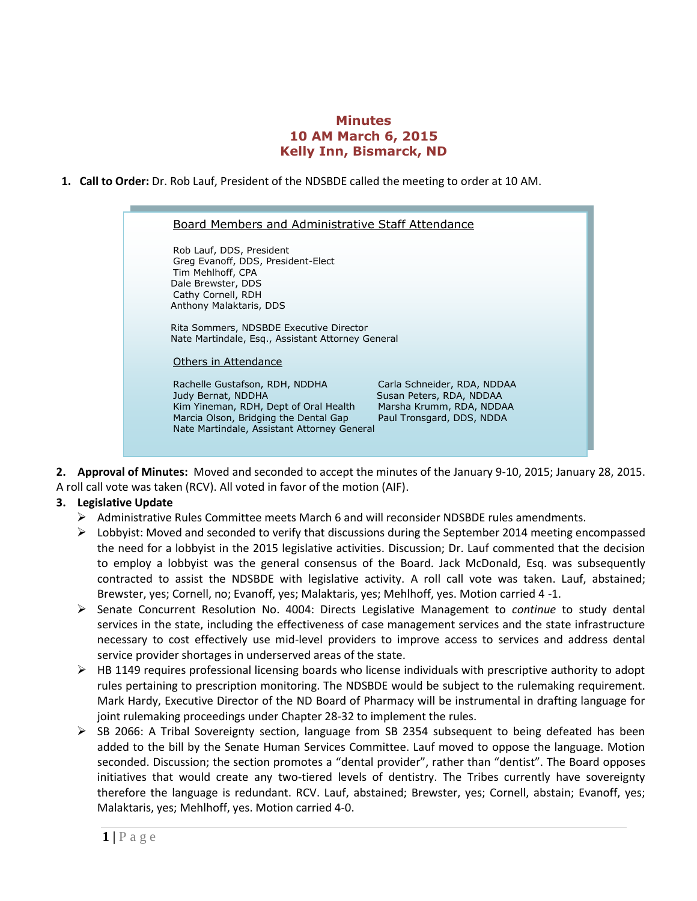## **Minutes 10 AM March 6, 2015 Kelly Inn, Bismarck, ND**

**1. Call to Order:** Dr. Rob Lauf, President of the NDSBDE called the meeting to order at 10 AM.



**2. Approval of Minutes:** Moved and seconded to accept the minutes of the January 9-10, 2015; January 28, 2015. A roll call vote was taken (RCV). All voted in favor of the motion (AIF).

## **3. Legislative Update**

- Administrative Rules Committee meets March 6 and will reconsider NDSBDE rules amendments.
- $\triangleright$  Lobbyist: Moved and seconded to verify that discussions during the September 2014 meeting encompassed the need for a lobbyist in the 2015 legislative activities. Discussion; Dr. Lauf commented that the decision to employ a lobbyist was the general consensus of the Board. Jack McDonald, Esq. was subsequently contracted to assist the NDSBDE with legislative activity. A roll call vote was taken. Lauf, abstained; Brewster, yes; Cornell, no; Evanoff, yes; Malaktaris, yes; Mehlhoff, yes. Motion carried 4 -1.
- Senate Concurrent Resolution No. 4004: Directs Legislative Management to *continue* to study dental services in the state, including the effectiveness of case management services and the state infrastructure necessary to cost effectively use mid-level providers to improve access to services and address dental service provider shortages in underserved areas of the state.
- HB 1149 requires professional licensing boards who license individuals with prescriptive authority to adopt rules pertaining to prescription monitoring. The NDSBDE would be subject to the rulemaking requirement. Mark Hardy, Executive Director of the ND Board of Pharmacy will be instrumental in drafting language for joint rulemaking proceedings under Chapter 28-32 to implement the rules.
- $\triangleright$  SB 2066: A Tribal Sovereignty section, language from SB 2354 subsequent to being defeated has been added to the bill by the Senate Human Services Committee. Lauf moved to oppose the language. Motion seconded. Discussion; the section promotes a "dental provider", rather than "dentist". The Board opposes initiatives that would create any two-tiered levels of dentistry. The Tribes currently have sovereignty therefore the language is redundant. RCV. Lauf, abstained; Brewster, yes; Cornell, abstain; Evanoff, yes; Malaktaris, yes; Mehlhoff, yes. Motion carried 4-0.